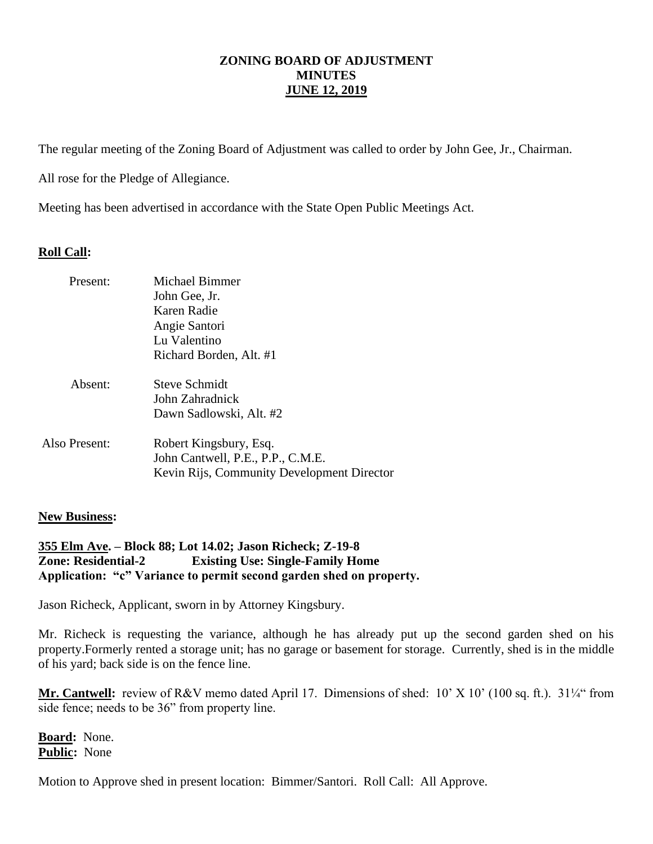The regular meeting of the Zoning Board of Adjustment was called to order by John Gee, Jr., Chairman.

All rose for the Pledge of Allegiance.

Meeting has been advertised in accordance with the State Open Public Meetings Act.

# **Roll Call:**

| Present:      | <b>Michael Bimmer</b><br>John Gee, Jr.<br>Karen Radie<br>Angie Santori<br>Lu Valentino<br>Richard Borden, Alt. #1 |
|---------------|-------------------------------------------------------------------------------------------------------------------|
| Absent:       | Steve Schmidt<br>John Zahradnick<br>Dawn Sadlowski, Alt. #2                                                       |
| Also Present: | Robert Kingsbury, Esq.<br>John Cantwell, P.E., P.P., C.M.E.<br>Kevin Rijs, Community Development Director         |

### **New Business:**

## **355 Elm Ave. – Block 88; Lot 14.02; Jason Richeck; Z-19-8 Zone: Residential-2 Existing Use: Single-Family Home Application: "c" Variance to permit second garden shed on property.**

Jason Richeck, Applicant, sworn in by Attorney Kingsbury.

Mr. Richeck is requesting the variance, although he has already put up the second garden shed on his property.Formerly rented a storage unit; has no garage or basement for storage. Currently, shed is in the middle of his yard; back side is on the fence line.

**Mr. Cantwell:** review of R&V memo dated April 17. Dimensions of shed: 10' X 10' (100 sq. ft.). 31¼" from side fence; needs to be 36" from property line.

**Board:** None. **Public:** None

Motion to Approve shed in present location: Bimmer/Santori. Roll Call: All Approve.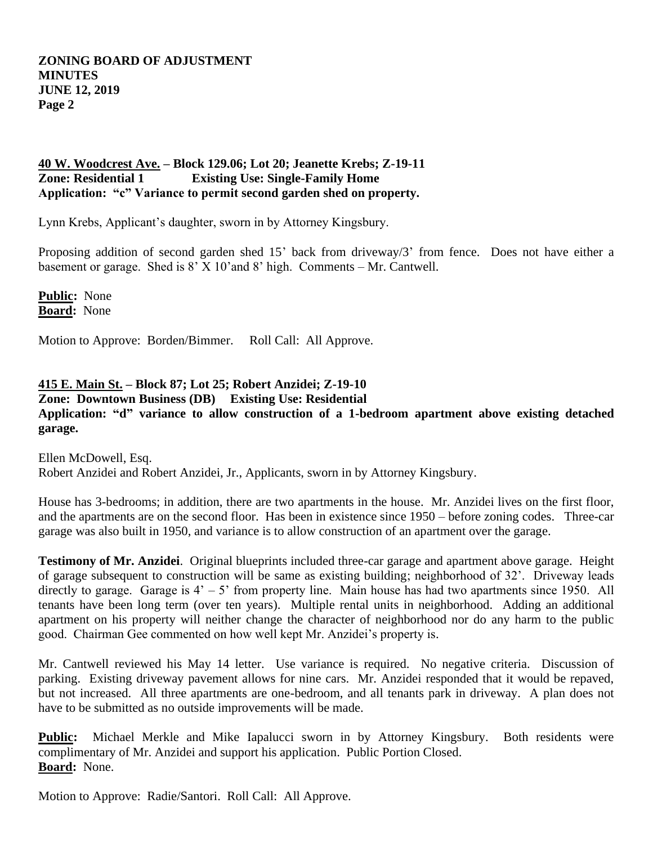## **40 W. Woodcrest Ave. – Block 129.06; Lot 20; Jeanette Krebs; Z-19-11 Zone: Residential 1 Existing Use: Single-Family Home Application: "c" Variance to permit second garden shed on property.**

Lynn Krebs, Applicant's daughter, sworn in by Attorney Kingsbury.

Proposing addition of second garden shed 15' back from driveway/3' from fence. Does not have either a basement or garage. Shed is  $8'$  X 10' and  $8'$  high. Comments – Mr. Cantwell.

**Public:** None **Board:** None

Motion to Approve: Borden/Bimmer. Roll Call: All Approve.

# **415 E. Main St. – Block 87; Lot 25; Robert Anzidei; Z-19-10**

**Zone: Downtown Business (DB) Existing Use: Residential**

# **Application: "d" variance to allow construction of a 1-bedroom apartment above existing detached garage.**

Ellen McDowell, Esq. Robert Anzidei and Robert Anzidei, Jr., Applicants, sworn in by Attorney Kingsbury.

House has 3-bedrooms; in addition, there are two apartments in the house. Mr. Anzidei lives on the first floor, and the apartments are on the second floor. Has been in existence since 1950 – before zoning codes. Three-car garage was also built in 1950, and variance is to allow construction of an apartment over the garage.

**Testimony of Mr. Anzidei**. Original blueprints included three-car garage and apartment above garage. Height of garage subsequent to construction will be same as existing building; neighborhood of 32'. Driveway leads directly to garage. Garage is  $4' - 5'$  from property line. Main house has had two apartments since 1950. All tenants have been long term (over ten years). Multiple rental units in neighborhood. Adding an additional apartment on his property will neither change the character of neighborhood nor do any harm to the public good. Chairman Gee commented on how well kept Mr. Anzidei's property is.

Mr. Cantwell reviewed his May 14 letter. Use variance is required. No negative criteria. Discussion of parking. Existing driveway pavement allows for nine cars. Mr. Anzidei responded that it would be repaved, but not increased. All three apartments are one-bedroom, and all tenants park in driveway. A plan does not have to be submitted as no outside improvements will be made.

**Public:** Michael Merkle and Mike Iapalucci sworn in by Attorney Kingsbury. Both residents were complimentary of Mr. Anzidei and support his application. Public Portion Closed. **Board:** None.

Motion to Approve: Radie/Santori. Roll Call: All Approve.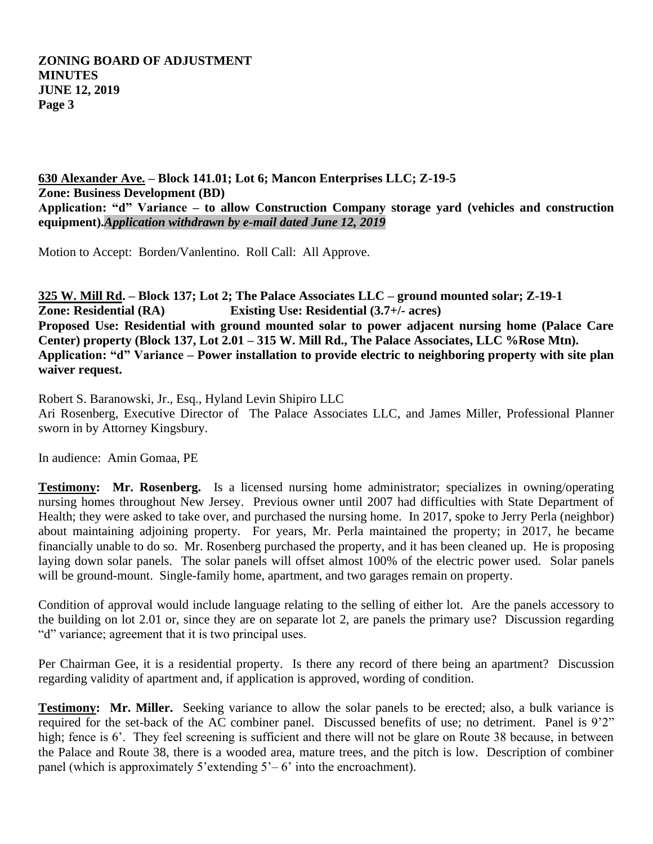**630 Alexander Ave. – Block 141.01; Lot 6; Mancon Enterprises LLC; Z-19-5 Zone: Business Development (BD) Application: "d" Variance – to allow Construction Company storage yard (vehicles and construction equipment).***Application withdrawn by e-mail dated June 12, 2019*

Motion to Accept: Borden/Vanlentino. Roll Call: All Approve.

**325 W. Mill Rd. – Block 137; Lot 2; The Palace Associates LLC – ground mounted solar; Z-19-1 Zone: Residential (RA) Existing Use: Residential (3.7+/- acres) Proposed Use: Residential with ground mounted solar to power adjacent nursing home (Palace Care Center) property (Block 137, Lot 2.01 – 315 W. Mill Rd., The Palace Associates, LLC %Rose Mtn). Application: "d" Variance – Power installation to provide electric to neighboring property with site plan waiver request.** 

Robert S. Baranowski, Jr., Esq., Hyland Levin Shipiro LLC Ari Rosenberg, Executive Director of The Palace Associates LLC, and James Miller, Professional Planner sworn in by Attorney Kingsbury.

In audience: Amin Gomaa, PE

**Testimony: Mr. Rosenberg.** Is a licensed nursing home administrator; specializes in owning/operating nursing homes throughout New Jersey. Previous owner until 2007 had difficulties with State Department of Health; they were asked to take over, and purchased the nursing home. In 2017, spoke to Jerry Perla (neighbor) about maintaining adjoining property. For years, Mr. Perla maintained the property; in 2017, he became financially unable to do so. Mr. Rosenberg purchased the property, and it has been cleaned up. He is proposing laying down solar panels. The solar panels will offset almost 100% of the electric power used. Solar panels will be ground-mount. Single-family home, apartment, and two garages remain on property.

Condition of approval would include language relating to the selling of either lot. Are the panels accessory to the building on lot 2.01 or, since they are on separate lot 2, are panels the primary use? Discussion regarding "d" variance; agreement that it is two principal uses.

Per Chairman Gee, it is a residential property. Is there any record of there being an apartment? Discussion regarding validity of apartment and, if application is approved, wording of condition.

**Testimony: Mr. Miller.** Seeking variance to allow the solar panels to be erected; also, a bulk variance is required for the set-back of the AC combiner panel. Discussed benefits of use; no detriment. Panel is 9'2" high; fence is 6'. They feel screening is sufficient and there will not be glare on Route 38 because, in between the Palace and Route 38, there is a wooded area, mature trees, and the pitch is low. Description of combiner panel (which is approximately 5'extending  $5'-6$ ' into the encroachment).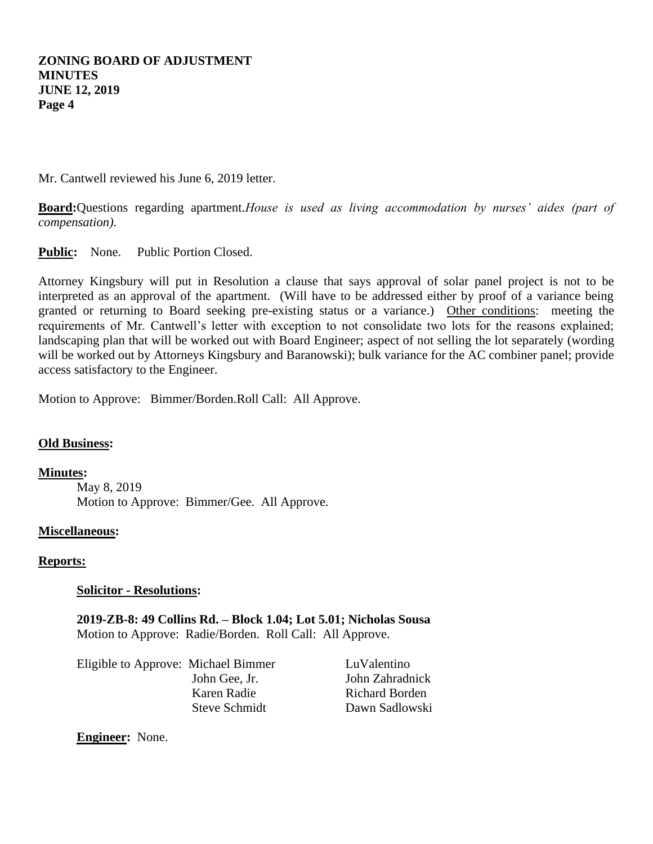Mr. Cantwell reviewed his June 6, 2019 letter.

**Board:**Questions regarding apartment.*House is used as living accommodation by nurses' aides (part of compensation).*

Public: None. Public Portion Closed.

Attorney Kingsbury will put in Resolution a clause that says approval of solar panel project is not to be interpreted as an approval of the apartment. (Will have to be addressed either by proof of a variance being granted or returning to Board seeking pre-existing status or a variance.) Other conditions: meeting the requirements of Mr. Cantwell's letter with exception to not consolidate two lots for the reasons explained; landscaping plan that will be worked out with Board Engineer; aspect of not selling the lot separately (wording will be worked out by Attorneys Kingsbury and Baranowski); bulk variance for the AC combiner panel; provide access satisfactory to the Engineer.

Motion to Approve: Bimmer/Borden.Roll Call: All Approve.

### **Old Business:**

**Minutes:**

May 8, 2019 Motion to Approve: Bimmer/Gee. All Approve.

#### **Miscellaneous:**

#### **Reports:**

#### **Solicitor - Resolutions:**

**2019-ZB-8: 49 Collins Rd. – Block 1.04; Lot 5.01; Nicholas Sousa** Motion to Approve: Radie/Borden. Roll Call: All Approve.

Eligible to Approve: Michael Bimmer LuValentino John Gee, Jr. John Zahradnick Karen Radie Richard Borden

Steve Schmidt Dawn Sadlowski

**Engineer:** None.